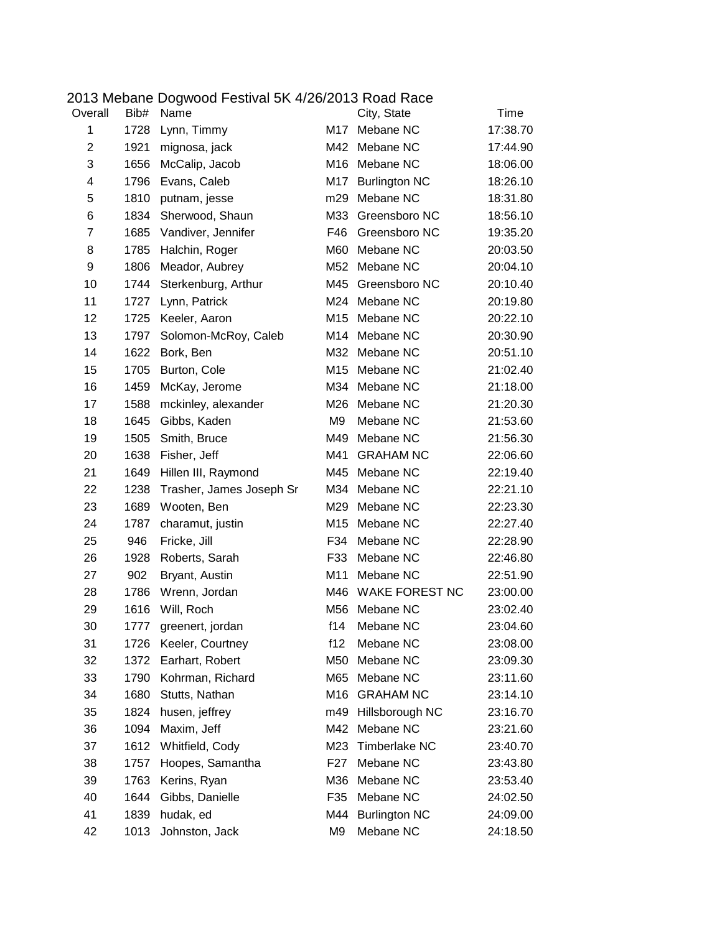| Overall        | Bib# | Name                     |                  | City, State           | Time     |
|----------------|------|--------------------------|------------------|-----------------------|----------|
| 1              | 1728 | Lynn, Timmy              | M17              | Mebane NC             | 17:38.70 |
| $\overline{c}$ | 1921 | mignosa, jack            |                  | M42 Mebane NC         | 17:44.90 |
| 3              | 1656 | McCalip, Jacob           | M16              | Mebane NC             | 18:06.00 |
| 4              | 1796 | Evans, Caleb             | M17              | <b>Burlington NC</b>  | 18:26.10 |
| 5              | 1810 | putnam, jesse            | m29              | Mebane NC             | 18:31.80 |
| 6              | 1834 | Sherwood, Shaun          | M33              | Greensboro NC         | 18:56.10 |
| 7              | 1685 | Vandiver, Jennifer       | F46              | Greensboro NC         | 19:35.20 |
| 8              | 1785 | Halchin, Roger           | M60              | Mebane NC             | 20:03.50 |
| 9              | 1806 | Meador, Aubrey           |                  | M52 Mebane NC         | 20:04.10 |
| 10             | 1744 | Sterkenburg, Arthur      | M45              | Greensboro NC         | 20:10.40 |
| 11             | 1727 | Lynn, Patrick            |                  | M24 Mebane NC         | 20:19.80 |
| 12             | 1725 | Keeler, Aaron            | M15              | Mebane NC             | 20:22.10 |
| 13             | 1797 | Solomon-McRoy, Caleb     | M14              | Mebane NC             | 20:30.90 |
| 14             | 1622 | Bork, Ben                |                  | M32 Mebane NC         | 20:51.10 |
| 15             | 1705 | Burton, Cole             | M15              | Mebane NC             | 21:02.40 |
| 16             | 1459 | McKay, Jerome            |                  | M34 Mebane NC         | 21:18.00 |
| 17             | 1588 | mckinley, alexander      | M26              | Mebane NC             | 21:20.30 |
| 18             | 1645 | Gibbs, Kaden             | M <sub>9</sub>   | Mebane NC             | 21:53.60 |
| 19             | 1505 | Smith, Bruce             | M49              | Mebane NC             | 21:56.30 |
| 20             | 1638 | Fisher, Jeff             | M41              | <b>GRAHAM NC</b>      | 22:06.60 |
| 21             | 1649 | Hillen III, Raymond      | M45              | Mebane NC             | 22:19.40 |
| 22             | 1238 | Trasher, James Joseph Sr | M34              | Mebane NC             | 22:21.10 |
| 23             | 1689 | Wooten, Ben              | M29              | Mebane NC             | 22:23.30 |
| 24             | 1787 | charamut, justin         | M15              | Mebane NC             | 22:27.40 |
| 25             | 946  | Fricke, Jill             | F34              | Mebane NC             | 22:28.90 |
| 26             | 1928 | Roberts, Sarah           | F33              | Mebane NC             | 22:46.80 |
| 27             | 902  | Bryant, Austin           | M11              | Mebane NC             | 22:51.90 |
| 28             | 1786 | Wrenn, Jordan            | M46              | <b>WAKE FOREST NC</b> | 23:00.00 |
| 29             | 1616 | Will, Roch               | M56              | Mebane NC             | 23:02.40 |
| 30             | 1777 | greenert, jordan         | f14              | Mebane NC             | 23:04.60 |
| 31             | 1726 | Keeler, Courtney         | f12              | Mebane NC             | 23:08.00 |
| 32             | 1372 | Earhart, Robert          | M50              | Mebane NC             | 23:09.30 |
| 33             | 1790 | Kohrman, Richard         | M65              | Mebane NC             | 23:11.60 |
| 34             | 1680 | Stutts, Nathan           | M16              | <b>GRAHAM NC</b>      | 23:14.10 |
| 35             | 1824 | husen, jeffrey           | m49              | Hillsborough NC       | 23:16.70 |
| 36             | 1094 | Maxim, Jeff              | M42              | Mebane NC             | 23:21.60 |
| 37             | 1612 | Whitfield, Cody          | M23              | Timberlake NC         | 23:40.70 |
| 38             | 1757 | Hoopes, Samantha         | F <sub>2</sub> 7 | Mebane NC             | 23:43.80 |
| 39             | 1763 | Kerins, Ryan             | M36              | Mebane NC             | 23:53.40 |
| 40             | 1644 | Gibbs, Danielle          | F35              | Mebane NC             | 24:02.50 |
| 41             | 1839 | hudak, ed                | M44              | <b>Burlington NC</b>  | 24:09.00 |
| 42             | 1013 | Johnston, Jack           | M <sub>9</sub>   | Mebane NC             | 24:18.50 |

## 2013 Mebane Dogwood Festival 5K 4/26/2013 Road Race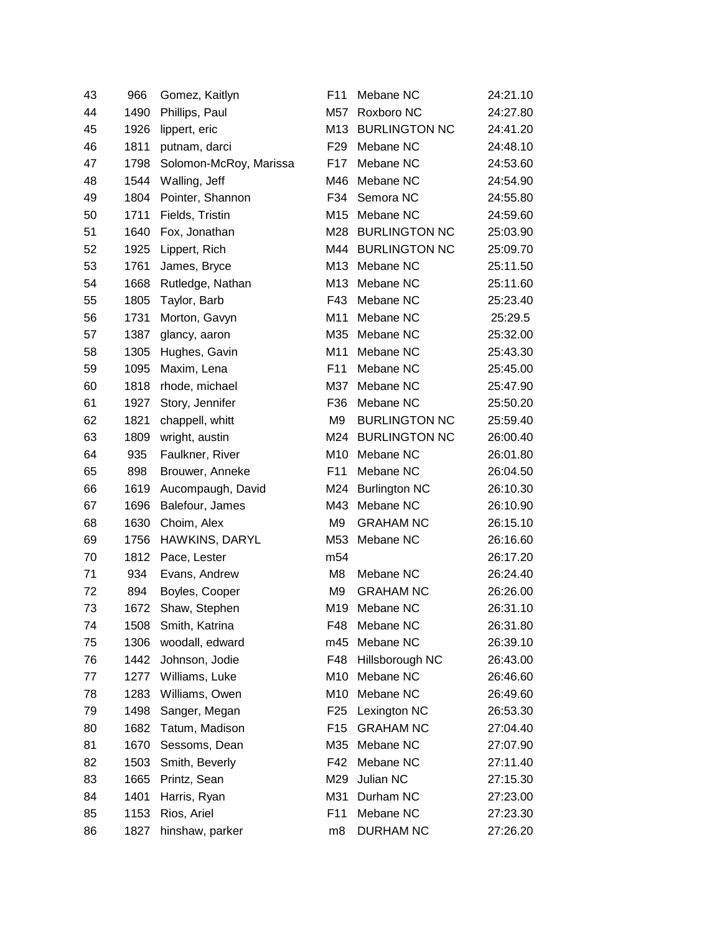| Roxboro NC<br>44<br>1490<br>M57<br>Phillips, Paul                       |          |
|-------------------------------------------------------------------------|----------|
|                                                                         | 24:27.80 |
| 45<br>M13<br><b>BURLINGTON NC</b><br>1926<br>lippert, eric              | 24:41.20 |
| 46<br>1811<br>F <sub>29</sub><br>Mebane NC<br>putnam, darci             | 24:48.10 |
| 47<br>F <sub>17</sub><br>1798<br>Solomon-McRoy, Marissa<br>Mebane NC    | 24:53.60 |
| 48<br>1544<br>Walling, Jeff<br>M46<br>Mebane NC                         | 24:54.90 |
| 49<br>1804<br>F34<br>Semora NC<br>Pointer, Shannon                      | 24:55.80 |
| 50<br>1711<br>M15<br>Mebane NC<br>Fields, Tristin                       | 24:59.60 |
| 51<br>1640<br>M28<br><b>BURLINGTON NC</b><br>Fox, Jonathan              | 25:03.90 |
| 52<br>1925<br>M44 BURLINGTON NC<br>Lippert, Rich                        | 25:09.70 |
| 53<br>1761<br>M13<br>Mebane NC<br>James, Bryce                          | 25:11.50 |
| 54<br>1668<br>Rutledge, Nathan<br>M13<br>Mebane NC                      | 25:11.60 |
| 55<br>1805<br>F43<br>Mebane NC<br>Taylor, Barb                          | 25:23.40 |
| 56<br>1731<br>M11<br>Mebane NC<br>Morton, Gavyn                         | 25:29.5  |
| 57<br>M35<br>Mebane NC<br>1387<br>glancy, aaron                         | 25:32.00 |
| M11<br>58<br>1305<br>Hughes, Gavin<br>Mebane NC                         | 25:43.30 |
| F11<br>59<br>1095<br>Mebane NC<br>Maxim, Lena                           | 25:45.00 |
| 60<br>1818<br>M37<br>Mebane NC<br>rhode, michael                        | 25:47.90 |
| F36<br>61<br>1927<br>Story, Jennifer<br>Mebane NC                       | 25:50.20 |
| 1821<br>chappell, whitt<br>M <sub>9</sub><br><b>BURLINGTON NC</b><br>62 | 25:59.40 |
| 63<br>1809<br>M24<br><b>BURLINGTON NC</b><br>wright, austin             | 26:00.40 |
| 64<br>935<br>M10<br>Mebane NC<br>Faulkner, River                        | 26:01.80 |
| F11<br>65<br>898<br>Mebane NC<br>Brouwer, Anneke                        | 26:04.50 |
| 66<br>1619<br>M24<br><b>Burlington NC</b><br>Aucompaugh, David          | 26:10.30 |
| 67<br>1696<br>Balefour, James<br>M43<br>Mebane NC                       | 26:10.90 |
| M <sub>9</sub><br>68<br>1630<br>Choim, Alex<br><b>GRAHAM NC</b>         | 26:15.10 |
| 69<br>1756<br>HAWKINS, DARYL<br>M53<br>Mebane NC                        | 26:16.60 |
| 70<br>1812<br>m <sub>54</sub><br>Pace, Lester                           | 26:17.20 |
| 71<br>934<br>M8<br>Evans, Andrew<br>Mebane NC                           | 26:24.40 |
| 72<br>894<br>Boyles, Cooper<br>M <sub>9</sub><br><b>GRAHAM NC</b>       | 26:26.00 |
| 73<br>Shaw, Stephen<br>1672<br>M19<br>Mebane NC                         | 26:31.10 |
| 74<br>1508<br>Smith, Katrina<br>F48<br>Mebane NC                        | 26:31.80 |
| 1306<br>woodall, edward<br>m45<br>Mebane NC<br>75                       | 26:39.10 |
| 1442<br>F48<br>Hillsborough NC<br>76<br>Johnson, Jodie                  | 26:43.00 |
| M10<br>Mebane NC<br>77<br>1277<br>Williams, Luke                        | 26:46.60 |
| M10<br>Mebane NC<br>78<br>1283<br>Williams, Owen                        | 26:49.60 |
| 1498<br>Sanger, Megan<br>F <sub>25</sub><br>Lexington NC<br>79          | 26:53.30 |
| 80<br>1682<br>Tatum, Madison<br>F <sub>15</sub><br><b>GRAHAM NC</b>     | 27:04.40 |
| 81<br>1670<br>M35<br>Mebane NC<br>Sessoms, Dean                         | 27:07.90 |
| 82<br>F42<br>Mebane NC<br>1503<br>Smith, Beverly                        | 27:11.40 |
|                                                                         | 27:15.30 |
| 83<br>1665<br>Printz, Sean<br>M29<br>Julian NC                          |          |
| 1401<br>M31<br>Durham NC<br>84<br>Harris, Ryan                          | 27:23.00 |
| F11<br>Rios, Ariel<br>Mebane NC<br>85<br>1153                           | 27:23.30 |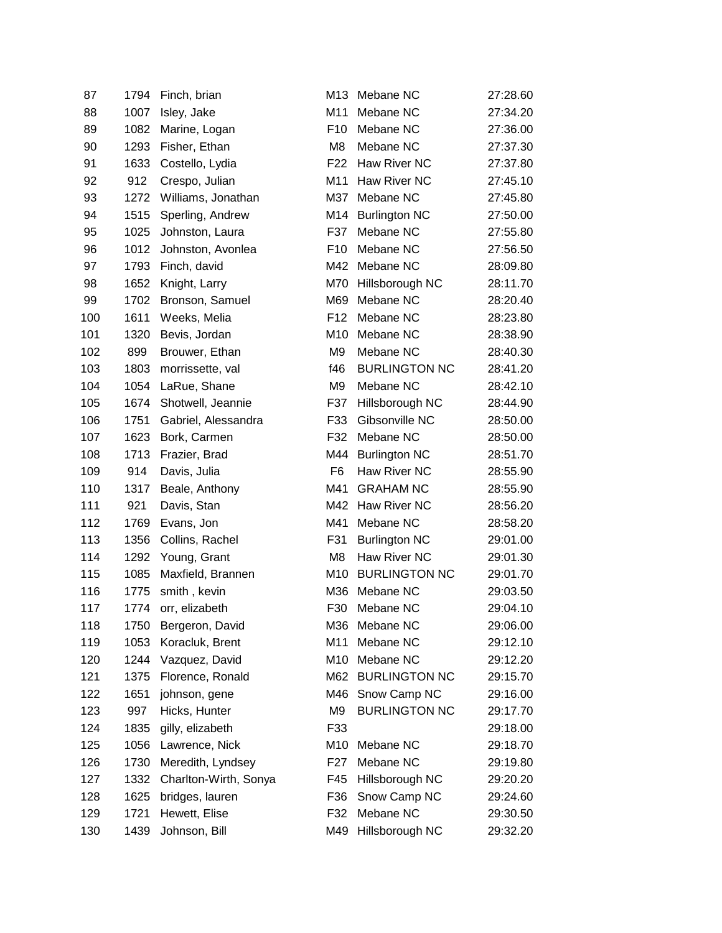| 87  | 1794 | Finch, brian          | M13             | Mebane NC            | 27:28.60 |
|-----|------|-----------------------|-----------------|----------------------|----------|
| 88  | 1007 | Isley, Jake           | M11             | Mebane NC            | 27:34.20 |
| 89  | 1082 | Marine, Logan         | F <sub>10</sub> | Mebane NC            | 27:36.00 |
| 90  | 1293 | Fisher, Ethan         | M8              | Mebane NC            | 27:37.30 |
| 91  | 1633 | Costello, Lydia       | F22             | Haw River NC         | 27:37.80 |
| 92  | 912  | Crespo, Julian        | M11             | Haw River NC         | 27:45.10 |
| 93  | 1272 | Williams, Jonathan    | M37             | Mebane NC            | 27:45.80 |
| 94  | 1515 | Sperling, Andrew      | M14             | <b>Burlington NC</b> | 27:50.00 |
| 95  | 1025 | Johnston, Laura       | F37             | Mebane NC            | 27:55.80 |
| 96  | 1012 | Johnston, Avonlea     | F <sub>10</sub> | Mebane NC            | 27:56.50 |
| 97  | 1793 | Finch, david          | M42             | Mebane NC            | 28:09.80 |
| 98  | 1652 | Knight, Larry         |                 | M70 Hillsborough NC  | 28:11.70 |
| 99  | 1702 | Bronson, Samuel       | M69             | Mebane NC            | 28:20.40 |
| 100 | 1611 | Weeks, Melia          | F <sub>12</sub> | Mebane NC            | 28:23.80 |
| 101 | 1320 | Bevis, Jordan         | M10             | Mebane NC            | 28:38.90 |
| 102 | 899  | Brouwer, Ethan        | M9              | Mebane NC            | 28:40.30 |
| 103 | 1803 | morrissette, val      | f46             | <b>BURLINGTON NC</b> | 28:41.20 |
| 104 | 1054 | LaRue, Shane          | M9              | Mebane NC            | 28:42.10 |
| 105 | 1674 | Shotwell, Jeannie     | F37             | Hillsborough NC      | 28:44.90 |
| 106 | 1751 | Gabriel, Alessandra   | F33             | Gibsonville NC       | 28:50.00 |
| 107 | 1623 | Bork, Carmen          | F32             | Mebane NC            | 28:50.00 |
| 108 | 1713 | Frazier, Brad         | M44             | <b>Burlington NC</b> | 28:51.70 |
| 109 | 914  | Davis, Julia          | F6              | Haw River NC         | 28:55.90 |
| 110 | 1317 | Beale, Anthony        | M41             | <b>GRAHAM NC</b>     | 28:55.90 |
| 111 | 921  | Davis, Stan           | M42             | Haw River NC         | 28:56.20 |
| 112 | 1769 | Evans, Jon            | M41             | Mebane NC            | 28:58.20 |
| 113 | 1356 | Collins, Rachel       | F31             | <b>Burlington NC</b> | 29:01.00 |
| 114 | 1292 | Young, Grant          | M <sub>8</sub>  | Haw River NC         | 29:01.30 |
| 115 | 1085 | Maxfield, Brannen     | M10             | <b>BURLINGTON NC</b> | 29:01.70 |
| 116 | 1775 | smith, kevin          | M36             | Mebane NC            | 29:03.50 |
| 117 | 1774 | orr, elizabeth        | F30             | Mebane NC            | 29:04.10 |
| 118 | 1750 | Bergeron, David       | M36             | Mebane NC            | 29:06.00 |
| 119 | 1053 | Koracluk, Brent       | M11             | Mebane NC            | 29:12.10 |
| 120 | 1244 | Vazquez, David        | M10             | Mebane NC            | 29:12.20 |
| 121 | 1375 | Florence, Ronald      | M62             | <b>BURLINGTON NC</b> | 29:15.70 |
| 122 | 1651 | johnson, gene         | M46             | Snow Camp NC         | 29:16.00 |
| 123 | 997  | Hicks, Hunter         | M <sub>9</sub>  | <b>BURLINGTON NC</b> | 29:17.70 |
| 124 | 1835 | gilly, elizabeth      | F33             |                      | 29:18.00 |
| 125 | 1056 | Lawrence, Nick        | M10             | Mebane NC            | 29:18.70 |
| 126 | 1730 | Meredith, Lyndsey     | F <sub>27</sub> | Mebane NC            | 29:19.80 |
| 127 | 1332 | Charlton-Wirth, Sonya | F45             | Hillsborough NC      | 29:20.20 |
| 128 | 1625 | bridges, lauren       | F36             | Snow Camp NC         | 29:24.60 |
| 129 | 1721 | Hewett, Elise         | F32             | Mebane NC            | 29:30.50 |
| 130 | 1439 | Johnson, Bill         | M49             | Hillsborough NC      | 29:32.20 |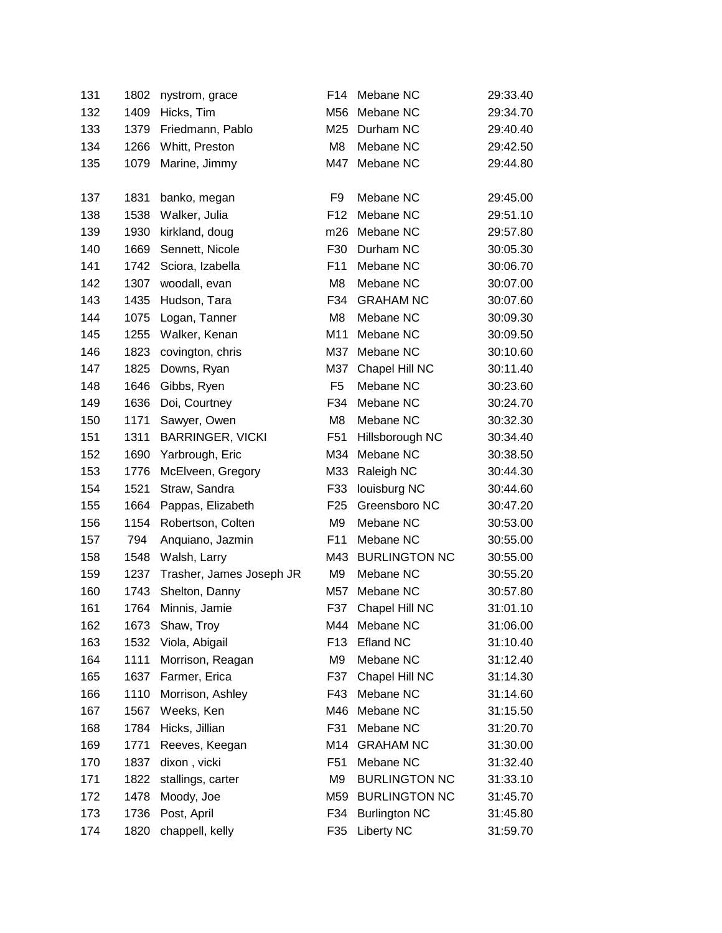| 131 | 1802 | nystrom, grace           | F14             | Mebane NC            | 29:33.40 |
|-----|------|--------------------------|-----------------|----------------------|----------|
| 132 | 1409 | Hicks, Tim               | M56             | Mebane NC            | 29:34.70 |
| 133 | 1379 | Friedmann, Pablo         | M25             | Durham NC            | 29:40.40 |
| 134 | 1266 | Whitt, Preston           | M8              | Mebane NC            | 29:42.50 |
| 135 | 1079 | Marine, Jimmy            | M47             | Mebane NC            | 29:44.80 |
| 137 | 1831 | banko, megan             | F9              | Mebane NC            | 29:45.00 |
| 138 | 1538 | Walker, Julia            | F <sub>12</sub> | Mebane NC            | 29:51.10 |
| 139 | 1930 | kirkland, doug           | m26             | Mebane NC            | 29:57.80 |
| 140 | 1669 | Sennett, Nicole          | F30             | Durham NC            | 30:05.30 |
| 141 | 1742 | Sciora, Izabella         | F11             | Mebane NC            | 30:06.70 |
| 142 | 1307 | woodall, evan            | M8              | Mebane NC            | 30:07.00 |
| 143 | 1435 | Hudson, Tara             | F34             | <b>GRAHAM NC</b>     | 30:07.60 |
| 144 | 1075 | Logan, Tanner            | M <sub>8</sub>  | Mebane NC            | 30:09.30 |
| 145 | 1255 | Walker, Kenan            | M11             | Mebane NC            | 30:09.50 |
| 146 | 1823 | covington, chris         | M37             | Mebane NC            | 30:10.60 |
| 147 | 1825 | Downs, Ryan              | M37             | Chapel Hill NC       | 30:11.40 |
| 148 | 1646 | Gibbs, Ryen              | F <sub>5</sub>  | Mebane NC            | 30:23.60 |
| 149 | 1636 | Doi, Courtney            | F34             | Mebane NC            | 30:24.70 |
| 150 | 1171 | Sawyer, Owen             | M8              | Mebane NC            | 30:32.30 |
| 151 | 1311 | <b>BARRINGER, VICKI</b>  | F51             | Hillsborough NC      | 30:34.40 |
| 152 | 1690 | Yarbrough, Eric          | M34             | Mebane NC            | 30:38.50 |
| 153 | 1776 | McElveen, Gregory        | M33             | Raleigh NC           | 30:44.30 |
| 154 | 1521 | Straw, Sandra            | F33             | louisburg NC         | 30:44.60 |
| 155 | 1664 | Pappas, Elizabeth        | F <sub>25</sub> | Greensboro NC        | 30:47.20 |
| 156 | 1154 | Robertson, Colten        | M9              | Mebane NC            | 30:53.00 |
| 157 | 794  | Anquiano, Jazmin         | F11             | Mebane NC            | 30:55.00 |
| 158 | 1548 | Walsh, Larry             | M43             | <b>BURLINGTON NC</b> | 30:55.00 |
| 159 | 1237 | Trasher, James Joseph JR | M <sub>9</sub>  | Mebane NC            | 30:55.20 |
| 160 | 1743 | Shelton, Danny           | M57             | Mebane NC            | 30:57.80 |
| 161 | 1764 | Minnis, Jamie            | F37             | Chapel Hill NC       | 31:01.10 |
| 162 | 1673 | Shaw, Troy               | M44             | Mebane NC            | 31:06.00 |
| 163 | 1532 | Viola, Abigail           | F <sub>13</sub> | <b>Efland NC</b>     | 31:10.40 |
| 164 | 1111 | Morrison, Reagan         | M9              | Mebane NC            | 31:12.40 |
| 165 | 1637 | Farmer, Erica            | F37             | Chapel Hill NC       | 31:14.30 |
| 166 | 1110 | Morrison, Ashley         | F43             | Mebane NC            | 31:14.60 |
| 167 | 1567 | Weeks, Ken               | M46             | Mebane NC            | 31:15.50 |
| 168 | 1784 | Hicks, Jillian           | F31             | Mebane NC            | 31:20.70 |
| 169 | 1771 | Reeves, Keegan           | M14             | <b>GRAHAM NC</b>     | 31:30.00 |
| 170 | 1837 | dixon, vicki             | F <sub>51</sub> | Mebane NC            | 31:32.40 |
| 171 | 1822 | stallings, carter        | M <sub>9</sub>  | <b>BURLINGTON NC</b> | 31:33.10 |
| 172 | 1478 | Moody, Joe               | M59             | <b>BURLINGTON NC</b> | 31:45.70 |
| 173 | 1736 | Post, April              | F34             | <b>Burlington NC</b> | 31:45.80 |
| 174 | 1820 | chappell, kelly          | F35             | <b>Liberty NC</b>    | 31:59.70 |
|     |      |                          |                 |                      |          |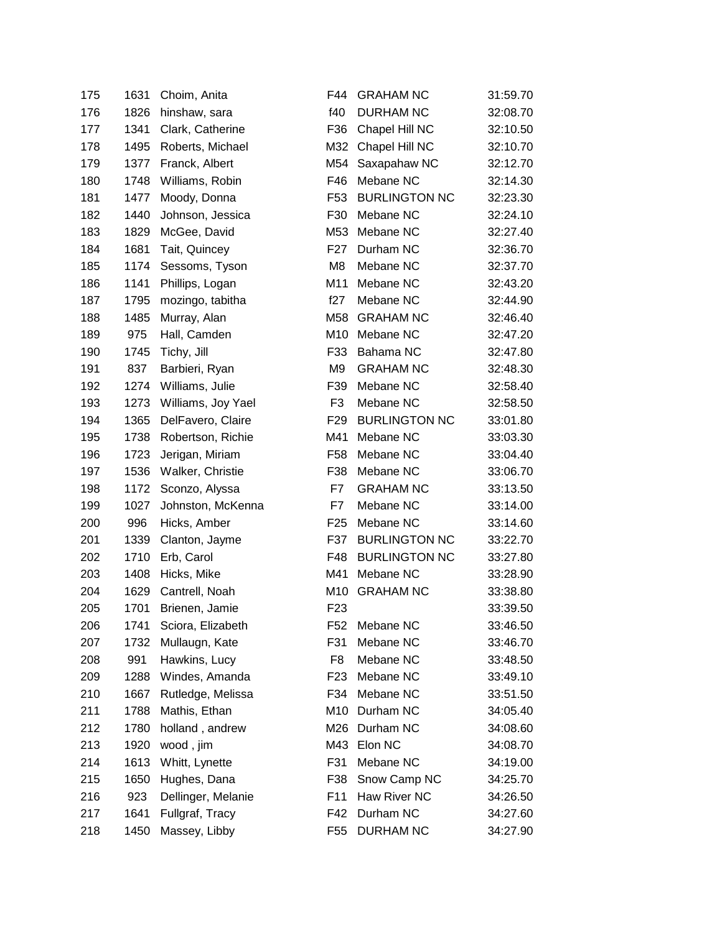| 175 | 1631 | Choim, Anita         | F44             | <b>GRAHAM NC</b>     | 31:59.70 |
|-----|------|----------------------|-----------------|----------------------|----------|
| 176 | 1826 | hinshaw, sara        | f40             | <b>DURHAM NC</b>     | 32:08.70 |
| 177 | 1341 | Clark, Catherine     | F36             | Chapel Hill NC       | 32:10.50 |
| 178 | 1495 | Roberts, Michael     |                 | M32 Chapel Hill NC   | 32:10.70 |
| 179 | 1377 | Franck, Albert       | M54             | Saxapahaw NC         | 32:12.70 |
| 180 |      | 1748 Williams, Robin | F46             | Mebane NC            | 32:14.30 |
| 181 | 1477 | Moody, Donna         | F <sub>53</sub> | <b>BURLINGTON NC</b> | 32:23.30 |
| 182 | 1440 | Johnson, Jessica     | F30             | Mebane NC            | 32:24.10 |
| 183 | 1829 | McGee, David         | M53             | Mebane NC            | 32:27.40 |
| 184 | 1681 | Tait, Quincey        | F27             | Durham NC            | 32:36.70 |
| 185 | 1174 | Sessoms, Tyson       | M8              | Mebane NC            | 32:37.70 |
| 186 | 1141 | Phillips, Logan      | M11             | Mebane NC            | 32:43.20 |
| 187 | 1795 | mozingo, tabitha     | f27             | Mebane NC            | 32:44.90 |
| 188 | 1485 | Murray, Alan         | M58             | <b>GRAHAM NC</b>     | 32:46.40 |
| 189 | 975  | Hall, Camden         | M10             | Mebane NC            | 32:47.20 |
| 190 | 1745 | Tichy, Jill          | F33             | Bahama NC            | 32:47.80 |
| 191 | 837  | Barbieri, Ryan       | M9              | <b>GRAHAM NC</b>     | 32:48.30 |
| 192 |      | 1274 Williams, Julie | F39             | Mebane NC            | 32:58.40 |
| 193 | 1273 | Williams, Joy Yael   | F <sub>3</sub>  | Mebane NC            | 32:58.50 |
| 194 | 1365 | DelFavero, Claire    | F <sub>29</sub> | <b>BURLINGTON NC</b> | 33:01.80 |
| 195 | 1738 | Robertson, Richie    | M41             | Mebane NC            | 33:03.30 |
| 196 | 1723 | Jerigan, Miriam      | F58             | Mebane NC            | 33:04.40 |
| 197 | 1536 | Walker, Christie     | F38             | Mebane NC            | 33:06.70 |
| 198 | 1172 | Sconzo, Alyssa       | F7              | <b>GRAHAM NC</b>     | 33:13.50 |
| 199 | 1027 | Johnston, McKenna    | F7              | Mebane NC            | 33:14.00 |
| 200 | 996  | Hicks, Amber         | F <sub>25</sub> | Mebane NC            | 33:14.60 |
| 201 | 1339 | Clanton, Jayme       | F37             | <b>BURLINGTON NC</b> | 33:22.70 |
| 202 | 1710 | Erb, Carol           | F48             | <b>BURLINGTON NC</b> | 33:27.80 |
| 203 | 1408 | Hicks, Mike          | M41             | Mebane NC            | 33:28.90 |
| 204 | 1629 | Cantrell, Noah       | M10             | <b>GRAHAM NC</b>     | 33:38.80 |
| 205 | 1701 | Brienen, Jamie       | F <sub>23</sub> |                      | 33:39.50 |
| 206 | 1741 | Sciora, Elizabeth    | F52             | Mebane NC            | 33:46.50 |
| 207 | 1732 | Mullaugn, Kate       | F31             | Mebane NC            | 33:46.70 |
| 208 | 991  | Hawkins, Lucy        | F8              | Mebane NC            | 33:48.50 |
| 209 | 1288 | Windes, Amanda       | F23             | Mebane NC            | 33:49.10 |
| 210 | 1667 | Rutledge, Melissa    | F34             | Mebane NC            | 33:51.50 |
| 211 | 1788 | Mathis, Ethan        | M10             | Durham NC            | 34:05.40 |
| 212 | 1780 | holland, andrew      | M26             | Durham NC            | 34:08.60 |
| 213 | 1920 | wood, jim            | M43             | Elon NC              | 34:08.70 |
| 214 | 1613 | Whitt, Lynette       | F31             | Mebane NC            | 34:19.00 |
| 215 | 1650 | Hughes, Dana         | F38             | Snow Camp NC         | 34:25.70 |
| 216 | 923  | Dellinger, Melanie   | F11             | Haw River NC         | 34:26.50 |
| 217 | 1641 | Fullgraf, Tracy      | F42             | Durham NC            | 34:27.60 |
| 218 | 1450 | Massey, Libby        | F <sub>55</sub> | <b>DURHAM NC</b>     | 34:27.90 |

| 44   | <b>GRAHAM NC</b>     | 31:59.70 |
|------|----------------------|----------|
| 40   | <b>DURHAM NC</b>     | 32:08.70 |
| 36   | Chapel Hill NC       | 32:10.50 |
| 132  | Chapel Hill NC       | 32:10.70 |
| 154  | Saxapahaw NC         | 32:12.70 |
| -46  | Mebane NC            | 32:14.30 |
| 53   | <b>BURLINGTON NC</b> | 32:23.30 |
| 30   | Mebane NC            | 32:24.10 |
| 153  | Mebane NC            | 32:27.40 |
| 27   | Durham NC            | 32:36.70 |
| 0М   | Mebane NC            | 32:37.70 |
| 111  | Mebane NC            | 32:43.20 |
| 27   | Mebane NC            | 32:44.90 |
| 158  | <b>GRAHAM NC</b>     | 32:46.40 |
| 110  | Mebane NC            | 32:47.20 |
| 33   | Bahama NC            | 32:47.80 |
| И9 — | <b>GRAHAM NC</b>     | 32:48.30 |
| 39   | Mebane NC            | 32:58.40 |
| F3   | Mebane NC            | 32:58.50 |
| 29   | <b>BURLINGTON NC</b> | 33:01.80 |
| 141  | Mebane NC            | 33:03.30 |
| 58   | Mebane NC            | 33:04.40 |
| 38   | Mebane NC            | 33:06.70 |
| F7   | <b>GRAHAM NC</b>     | 33:13.50 |
| F7   | Mebane NC            | 33:14.00 |
| 25   | Mebane NC            | 33:14.60 |
| 37   | <b>BURLINGTON NC</b> | 33:22.70 |
| -48  | <b>BURLINGTON NC</b> | 33:27.80 |
| 141  | Mebane NC            | 33:28.90 |
| 110  | <b>GRAHAM NC</b>     | 33:38.80 |
| 23   |                      | 33:39.50 |
| 52   | Mebane NC            | 33:46.50 |
| 31   | Mebane NC            | 33:46.70 |
| F8   | Mebane NC            | 33:48.50 |
| -23  | Mebane NC            | 33:49.10 |
| 34   | Mebane NC            | 33:51.50 |
| 110  | Durham NC            | 34:05.40 |
| 126  | Durham NC            | 34:08.60 |
| 143  | Elon NC              | 34:08.70 |
| 31   | Mebane NC            | 34:19.00 |
| ·38  | Snow Camp NC         | 34:25.70 |
| 11:  | <b>Haw River NC</b>  | 34:26.50 |
| 42   | Durham NC            | 34:27.60 |
| 55   | <b>DURHAM NC</b>     | 34:27.90 |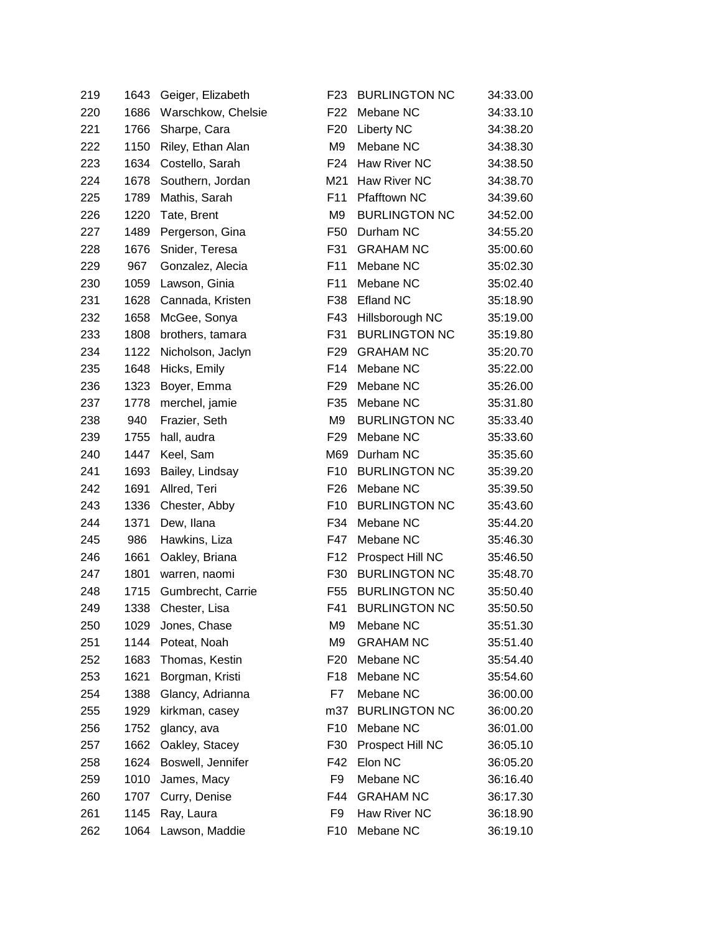| 219 | 1643 | Geiger, Elizabeth       | F23             | <b>BURLINGTON NC</b> | 34:33.00 |
|-----|------|-------------------------|-----------------|----------------------|----------|
| 220 |      | 1686 Warschkow, Chelsie | F <sub>22</sub> | Mebane NC            | 34:33.10 |
| 221 | 1766 | Sharpe, Cara            | F <sub>20</sub> | <b>Liberty NC</b>    | 34:38.20 |
| 222 | 1150 | Riley, Ethan Alan       | M9              | Mebane NC            | 34:38.30 |
| 223 | 1634 | Costello, Sarah         | F24             | Haw River NC         | 34:38.50 |
| 224 | 1678 | Southern, Jordan        | M21             | Haw River NC         | 34:38.70 |
| 225 | 1789 | Mathis, Sarah           | F11             | <b>Pfafftown NC</b>  | 34:39.60 |
| 226 | 1220 | Tate, Brent             | M9              | <b>BURLINGTON NC</b> | 34:52.00 |
| 227 | 1489 | Pergerson, Gina         | F50             | Durham NC            | 34:55.20 |
| 228 | 1676 | Snider, Teresa          | F31             | <b>GRAHAM NC</b>     | 35:00.60 |
| 229 | 967  | Gonzalez, Alecia        | F11             | Mebane NC            | 35:02.30 |
| 230 | 1059 | Lawson, Ginia           | F <sub>11</sub> | Mebane NC            | 35:02.40 |
| 231 |      | 1628 Cannada, Kristen   | F38             | <b>Efland NC</b>     | 35:18.90 |
| 232 | 1658 | McGee, Sonya            | F43             | Hillsborough NC      | 35:19.00 |
| 233 | 1808 | brothers, tamara        | F31             | <b>BURLINGTON NC</b> | 35:19.80 |
| 234 |      | 1122 Nicholson, Jaclyn  | F <sub>29</sub> | <b>GRAHAM NC</b>     | 35:20.70 |
| 235 | 1648 | Hicks, Emily            | F14             | Mebane NC            | 35:22.00 |
| 236 |      | 1323 Boyer, Emma        | F <sub>29</sub> | Mebane NC            | 35:26.00 |
| 237 | 1778 | merchel, jamie          | F35             | Mebane NC            | 35:31.80 |
| 238 | 940  | Frazier, Seth           | M9              | <b>BURLINGTON NC</b> | 35:33.40 |
| 239 | 1755 | hall, audra             | F <sub>29</sub> | Mebane NC            | 35:33.60 |
| 240 | 1447 | Keel, Sam               | M69             | Durham NC            | 35:35.60 |
| 241 | 1693 | Bailey, Lindsay         | F <sub>10</sub> | <b>BURLINGTON NC</b> | 35:39.20 |
| 242 | 1691 | Allred, Teri            | F <sub>26</sub> | Mebane NC            | 35:39.50 |
| 243 | 1336 | Chester, Abby           | F <sub>10</sub> | <b>BURLINGTON NC</b> | 35:43.60 |
| 244 | 1371 | Dew, Ilana              | F34             | Mebane NC            | 35:44.20 |
| 245 | 986  | Hawkins, Liza           | F47             | Mebane NC            | 35:46.30 |
| 246 | 1661 | Oakley, Briana          | F <sub>12</sub> | Prospect Hill NC     | 35:46.50 |
| 247 | 1801 | warren, naomi           | F30             | <b>BURLINGTON NC</b> | 35:48.70 |
| 248 | 1715 | Gumbrecht, Carrie       | F <sub>55</sub> | <b>BURLINGTON NC</b> | 35:50.40 |
| 249 | 1338 | Chester, Lisa           | F41             | <b>BURLINGTON NC</b> | 35:50.50 |
| 250 | 1029 | Jones, Chase            | M9              | Mebane NC            | 35:51.30 |
| 251 | 1144 | Poteat, Noah            | M9              | <b>GRAHAM NC</b>     | 35:51.40 |
| 252 | 1683 | Thomas, Kestin          | F <sub>20</sub> | Mebane NC            | 35:54.40 |
| 253 | 1621 | Borgman, Kristi         | F <sub>18</sub> | Mebane NC            | 35:54.60 |
| 254 | 1388 | Glancy, Adrianna        | F7              | Mebane NC            | 36:00.00 |
| 255 | 1929 | kirkman, casey          | m37             | <b>BURLINGTON NC</b> | 36:00.20 |
| 256 | 1752 | glancy, ava             | F <sub>10</sub> | Mebane NC            | 36:01.00 |
| 257 | 1662 | Oakley, Stacey          | F30             | Prospect Hill NC     | 36:05.10 |
| 258 | 1624 | Boswell, Jennifer       | F42             | Elon NC              | 36:05.20 |
| 259 | 1010 | James, Macy             | F9              | Mebane NC            | 36:16.40 |
| 260 | 1707 | Curry, Denise           | F44             | <b>GRAHAM NC</b>     | 36:17.30 |
| 261 | 1145 | Ray, Laura              | F9              | Haw River NC         | 36:18.90 |
| 262 | 1064 | Lawson, Maddie          | F <sub>10</sub> | Mebane NC            | 36:19.10 |
|     |      |                         |                 |                      |          |

| -23   | <b>BURLINGTON NC</b> | 34:33.00 |
|-------|----------------------|----------|
| $-22$ | Mebane NC            | 34:33.10 |
| -20   | <b>Liberty NC</b>    | 34:38.20 |
| M9    | Mebane NC            | 34:38.30 |
| -24   | <b>Haw River NC</b>  | 34:38.50 |
| 121   | <b>Haw River NC</b>  | 34:38.70 |
| $-11$ | <b>Pfafftown NC</b>  | 34:39.60 |
| M9    | <b>BURLINGTON NC</b> | 34:52.00 |
| -50   | Durham NC            | 34:55.20 |
| $-31$ | <b>GRAHAM NC</b>     | 35:00.60 |
| -11   | Mebane NC            | 35:02.30 |
| -11   | Mebane NC            | 35:02.40 |
| -38   | <b>Efland NC</b>     | 35:18.90 |
| -43   | Hillsborough NC      | 35:19.00 |
| -31   | <b>BURLINGTON NC</b> | 35:19.80 |
| -29   | <b>GRAHAM NC</b>     | 35:20.70 |
| $-14$ | Mebane NC            | 35:22.00 |
| -29   | Mebane NC            | 35:26.00 |
| -35   | Mebane NC            | 35:31.80 |
| M9    | <b>BURLINGTON NC</b> | 35:33.40 |
| -29   | Mebane NC            | 35:33.60 |
| 169   | Durham NC            | 35:35.60 |
| $-10$ | <b>BURLINGTON NC</b> | 35:39.20 |
| -26   | Mebane NC            | 35:39.50 |
| -10   | <b>BURLINGTON NC</b> | 35:43.60 |
| -34   | Mebane NC            | 35:44.20 |
| -47   | Mebane NC            | 35:46.30 |
| $-12$ | Prospect Hill NC     | 35:46.50 |
| -30   | <b>BURLINGTON NC</b> | 35:48.70 |
| -55   | <b>BURLINGTON NC</b> | 35:50.40 |
| -41   | <b>BURLINGTON NC</b> | 35:50.50 |
| M9    | Mebane NC            | 35:51.30 |
| M9    | <b>GRAHAM NC</b>     | 35:51.40 |
| -20   | Mebane NC            | 35:54.40 |
| -18   | Mebane NC            | 35:54.60 |
| F7    | Mebane NC            | 36:00.00 |
| ∩37   | <b>BURLINGTON NC</b> | 36:00.20 |
| -10   | Mebane NC            | 36:01.00 |
| -30   | Prospect Hill NC     | 36:05.10 |
| -42   | Elon NC              | 36:05.20 |
| F9    | Mebane NC            | 36:16.40 |
| -44   | <b>GRAHAM NC</b>     | 36:17.30 |
| F9    | <b>Haw River NC</b>  | 36:18.90 |
| $-10$ | Mebane NC            | 36:19.10 |
|       |                      |          |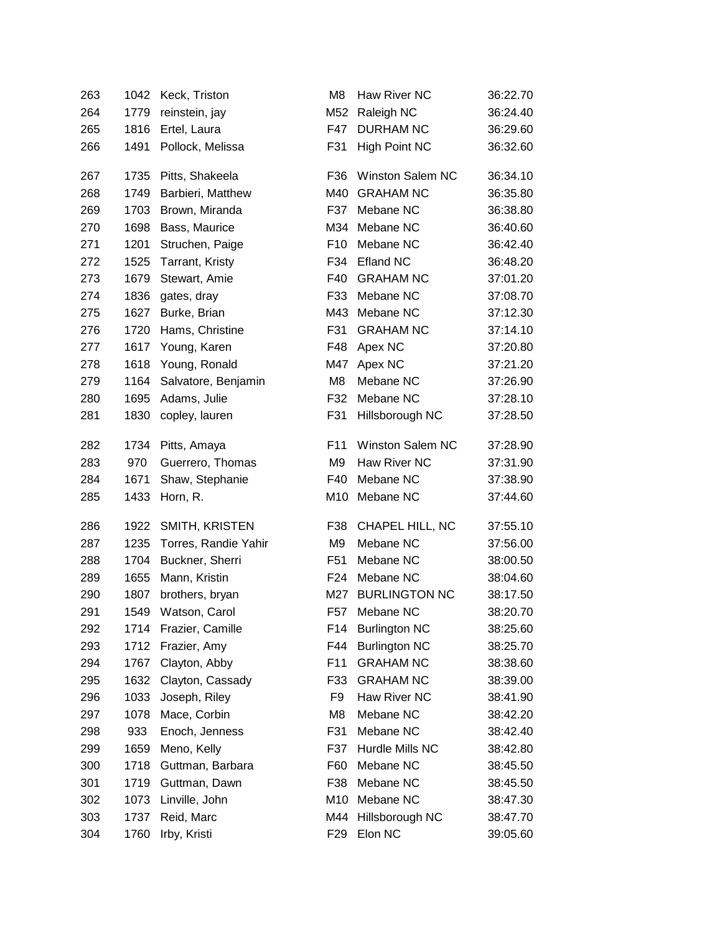| 263 | 1042 | Keck, Triston        | M <sub>8</sub>  | Haw River NC            | 36:22.70 |
|-----|------|----------------------|-----------------|-------------------------|----------|
| 264 | 1779 | reinstein, jay       | M52             | Raleigh NC              | 36:24.40 |
| 265 | 1816 | Ertel, Laura         | F47             | <b>DURHAM NC</b>        | 36:29.60 |
| 266 | 1491 | Pollock, Melissa     | F31             | <b>High Point NC</b>    | 36:32.60 |
| 267 | 1735 | Pitts, Shakeela      | F36             | <b>Winston Salem NC</b> | 36:34.10 |
| 268 | 1749 | Barbieri, Matthew    | M40             | <b>GRAHAM NC</b>        | 36:35.80 |
| 269 | 1703 | Brown, Miranda       | F37             | Mebane NC               | 36:38.80 |
| 270 | 1698 | Bass, Maurice        | M34             | Mebane NC               | 36:40.60 |
| 271 | 1201 | Struchen, Paige      | F <sub>10</sub> | Mebane NC               | 36:42.40 |
| 272 | 1525 | Tarrant, Kristy      | F34             | <b>Efland NC</b>        | 36:48.20 |
| 273 | 1679 | Stewart, Amie        | F40             | <b>GRAHAM NC</b>        | 37:01.20 |
| 274 | 1836 | gates, dray          | F33             | Mebane NC               | 37:08.70 |
| 275 | 1627 | Burke, Brian         | M43             | Mebane NC               | 37:12.30 |
| 276 | 1720 | Hams, Christine      | F31             | <b>GRAHAM NC</b>        | 37:14.10 |
| 277 | 1617 | Young, Karen         | F48             | Apex NC                 | 37:20.80 |
| 278 | 1618 | Young, Ronald        | M47             | Apex NC                 | 37:21.20 |
| 279 | 1164 | Salvatore, Benjamin  | M8              | Mebane NC               | 37:26.90 |
| 280 | 1695 | Adams, Julie         | F32             | Mebane NC               | 37:28.10 |
| 281 | 1830 | copley, lauren       | F31             | Hillsborough NC         | 37:28.50 |
| 282 | 1734 | Pitts, Amaya         | F11             | <b>Winston Salem NC</b> | 37:28.90 |
| 283 | 970  | Guerrero, Thomas     | M9              | Haw River NC            | 37:31.90 |
| 284 | 1671 | Shaw, Stephanie      | F40             | Mebane NC               | 37:38.90 |
| 285 | 1433 | Horn, R.             | M10             | Mebane NC               | 37:44.60 |
| 286 | 1922 | SMITH, KRISTEN       | F38             | CHAPEL HILL, NC         | 37:55.10 |
| 287 | 1235 | Torres, Randie Yahir | M <sub>9</sub>  | Mebane NC               | 37:56.00 |
| 288 |      | 1704 Buckner, Sherri | F51             | Mebane NC               | 38:00.50 |
| 289 | 1655 | Mann, Kristin        | F <sub>24</sub> | Mebane NC               | 38:04.60 |
| 290 | 1807 | brothers, bryan      | M27             | <b>BURLINGTON NC</b>    | 38:17.50 |
| 291 | 1549 | Watson, Carol        | F <sub>57</sub> | Mebane NC               | 38:20.70 |
| 292 | 1714 | Frazier, Camille     | F14             | <b>Burlington NC</b>    | 38:25.60 |
| 293 | 1712 | Frazier, Amy         | F44             | <b>Burlington NC</b>    | 38:25.70 |
| 294 | 1767 | Clayton, Abby        | F11             | <b>GRAHAM NC</b>        | 38:38.60 |
| 295 | 1632 | Clayton, Cassady     | F33             | <b>GRAHAM NC</b>        | 38:39.00 |
| 296 | 1033 | Joseph, Riley        | F <sub>9</sub>  | Haw River NC            | 38:41.90 |
| 297 | 1078 | Mace, Corbin         | M <sub>8</sub>  | Mebane NC               | 38:42.20 |
| 298 | 933  | Enoch, Jenness       | F31             | Mebane NC               | 38:42.40 |
| 299 | 1659 | Meno, Kelly          | F37             | Hurdle Mills NC         | 38:42.80 |
| 300 | 1718 | Guttman, Barbara     | F60             | Mebane NC               | 38:45.50 |
| 301 | 1719 | Guttman, Dawn        | F38             | Mebane NC               | 38:45.50 |
| 302 | 1073 | Linville, John       | M10             | Mebane NC               | 38:47.30 |
| 303 | 1737 | Reid, Marc           | M44             | Hillsborough NC         | 38:47.70 |
| 304 | 1760 | Irby, Kristi         | F <sub>29</sub> | Elon NC                 | 39:05.60 |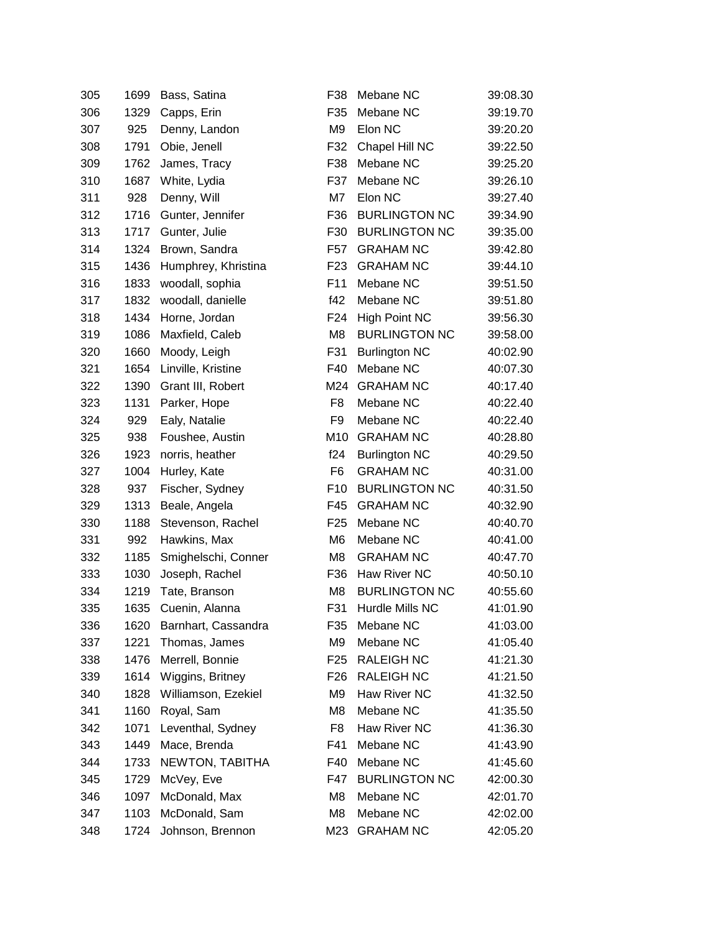| 305 | 1699 | Bass, Satina            | F38             | Mebane NC            | 39:08.30 |
|-----|------|-------------------------|-----------------|----------------------|----------|
| 306 | 1329 | Capps, Erin             | F35             | Mebane NC            | 39:19.70 |
| 307 | 925  | Denny, Landon           | M9              | Elon NC              | 39:20.20 |
| 308 | 1791 | Obie, Jenell            | F32             | Chapel Hill NC       | 39:22.50 |
| 309 | 1762 | James, Tracy            | F38             | Mebane NC            | 39:25.20 |
| 310 |      | 1687 White, Lydia       | F37             | Mebane NC            | 39:26.10 |
| 311 | 928  | Denny, Will             | M7              | Elon NC              | 39:27.40 |
| 312 | 1716 | Gunter, Jennifer        | F36             | <b>BURLINGTON NC</b> | 39:34.90 |
| 313 | 1717 | Gunter, Julie           | F30             | <b>BURLINGTON NC</b> | 39:35.00 |
| 314 |      | 1324 Brown, Sandra      | F57             | <b>GRAHAM NC</b>     | 39:42.80 |
| 315 | 1436 | Humphrey, Khristina     | F <sub>23</sub> | <b>GRAHAM NC</b>     | 39:44.10 |
| 316 | 1833 | woodall, sophia         | F11             | Mebane NC            | 39:51.50 |
| 317 | 1832 | woodall, danielle       | f42             | Mebane NC            | 39:51.80 |
| 318 | 1434 | Horne, Jordan           | F <sub>24</sub> | <b>High Point NC</b> | 39:56.30 |
| 319 | 1086 | Maxfield, Caleb         | M8              | <b>BURLINGTON NC</b> | 39:58.00 |
| 320 | 1660 | Moody, Leigh            | F31             | <b>Burlington NC</b> | 40:02.90 |
| 321 |      | 1654 Linville, Kristine | F40             | Mebane NC            | 40:07.30 |
| 322 | 1390 | Grant III, Robert       | M24             | <b>GRAHAM NC</b>     | 40:17.40 |
| 323 | 1131 | Parker, Hope            | F8              | Mebane NC            | 40:22.40 |
| 324 | 929  | Ealy, Natalie           | F9              | Mebane NC            | 40:22.40 |
| 325 | 938  | Foushee, Austin         | M10             | <b>GRAHAM NC</b>     | 40:28.80 |
| 326 | 1923 | norris, heather         | f24             | <b>Burlington NC</b> | 40:29.50 |
| 327 | 1004 | Hurley, Kate            | F <sub>6</sub>  | <b>GRAHAM NC</b>     | 40:31.00 |
| 328 | 937  | Fischer, Sydney         | F <sub>10</sub> | <b>BURLINGTON NC</b> | 40:31.50 |
| 329 | 1313 | Beale, Angela           | F45             | <b>GRAHAM NC</b>     | 40:32.90 |
| 330 | 1188 | Stevenson, Rachel       | F <sub>25</sub> | Mebane NC            | 40:40.70 |
| 331 | 992  | Hawkins, Max            | M6              | Mebane NC            | 40:41.00 |
| 332 | 1185 | Smighelschi, Conner     | M8              | <b>GRAHAM NC</b>     | 40:47.70 |
| 333 | 1030 | Joseph, Rachel          | F36             | Haw River NC         | 40:50.10 |
| 334 | 1219 | Tate, Branson           | M8              | <b>BURLINGTON NC</b> | 40:55.60 |
| 335 | 1635 | Cuenin, Alanna          | F31             | Hurdle Mills NC      | 41:01.90 |
| 336 | 1620 | Barnhart, Cassandra     | F35             | Mebane NC            | 41:03.00 |
| 337 | 1221 | Thomas, James           | M9              | Mebane NC            | 41:05.40 |
| 338 | 1476 | Merrell, Bonnie         | F <sub>25</sub> | <b>RALEIGH NC</b>    | 41:21.30 |
| 339 | 1614 | Wiggins, Britney        | F <sub>26</sub> | RALEIGH NC           | 41:21.50 |
| 340 | 1828 | Williamson, Ezekiel     | M9              | Haw River NC         | 41:32.50 |
| 341 | 1160 | Royal, Sam              | M8              | Mebane NC            | 41:35.50 |
| 342 | 1071 | Leventhal, Sydney       | F8              | Haw River NC         | 41:36.30 |
| 343 | 1449 | Mace, Brenda            | F41             | Mebane NC            | 41:43.90 |
| 344 | 1733 | NEWTON, TABITHA         | F40             | Mebane NC            | 41:45.60 |
| 345 | 1729 | McVey, Eve              | F47             | <b>BURLINGTON NC</b> | 42:00.30 |
| 346 | 1097 | McDonald, Max           | M8              | Mebane NC            | 42:01.70 |
| 347 | 1103 | McDonald, Sam           | M8              | Mebane NC            | 42:02.00 |
| 348 | 1724 | Johnson, Brennon        | M23             | <b>GRAHAM NC</b>     | 42:05.20 |
|     |      |                         |                 |                      |          |

| -38        | Mebane NC            | 39:08.30 |
|------------|----------------------|----------|
| -35        | Mebane NC            | 39:19.70 |
| M9         | Elon NC              | 39:20.20 |
| -32        | Chapel Hill NC       | 39:22.50 |
| -38        | Mebane NC            | 39:25.20 |
| -37        | Mebane NC            | 39:26.10 |
| М7         | Elon NC              | 39:27.40 |
| -36        | <b>BURLINGTON NC</b> | 39:34.90 |
| -30        | <b>BURLINGTON NC</b> | 39:35.00 |
| -57        | <b>GRAHAM NC</b>     | 39:42.80 |
| -23        | <b>GRAHAM NC</b>     | 39:44.10 |
| -11        | Mebane NC            | 39:51.50 |
| 142        | Mebane NC            | 39:51.80 |
| $-24$      | <b>High Point NC</b> | 39:56.30 |
| M8         | <b>BURLINGTON NC</b> | 39:58.00 |
| -31        | <b>Burlington NC</b> | 40:02.90 |
| -40        | Mebane NC            | 40:07.30 |
| <b>124</b> | <b>GRAHAM NC</b>     | 40:17.40 |
| F8         | Mebane NC            | 40:22.40 |
| F9         | Mebane NC            | 40:22.40 |
| 110        | <b>GRAHAM NC</b>     | 40:28.80 |
| 124        | <b>Burlington NC</b> | 40:29.50 |
| F6         | <b>GRAHAM NC</b>     | 40:31.00 |
| $-10$      | <b>BURLINGTON NC</b> | 40:31.50 |
| -45        | <b>GRAHAM NC</b>     | 40:32.90 |
| $-25$      | Mebane NC            | 40:40.70 |
| M6         | Mebane NC            | 40:41.00 |
| M8         | <b>GRAHAM NC</b>     | 40:47.70 |
| -36        | Haw River NC         | 40:50.10 |
| M8         | <b>BURLINGTON NC</b> | 40:55.60 |
| $-31$      | Hurdle Mills NC      | 41:01.90 |
| -35        | Mebane NC            | 41:03.00 |
| M9         | Mebane NC            | 41:05.40 |
| -25        | <b>RALEIGH NC</b>    | 41:21.30 |
| -26        | <b>RALEIGH NC</b>    | 41:21.50 |
| M9 I       | Haw River NC         | 41:32.50 |
| M8         | Mebane NC            | 41:35.50 |
| F8         | <b>Haw River NC</b>  | 41:36.30 |
| -41        | Mebane NC            | 41:43.90 |
| -40        | Mebane NC            | 41:45.60 |
| -47        | <b>BURLINGTON NC</b> | 42:00.30 |
| M8         | Mebane NC            | 42:01.70 |
| M8         | Mebane NC            | 42:02.00 |
| 123        | <b>GRAHAM NC</b>     | 42:05.20 |
|            |                      |          |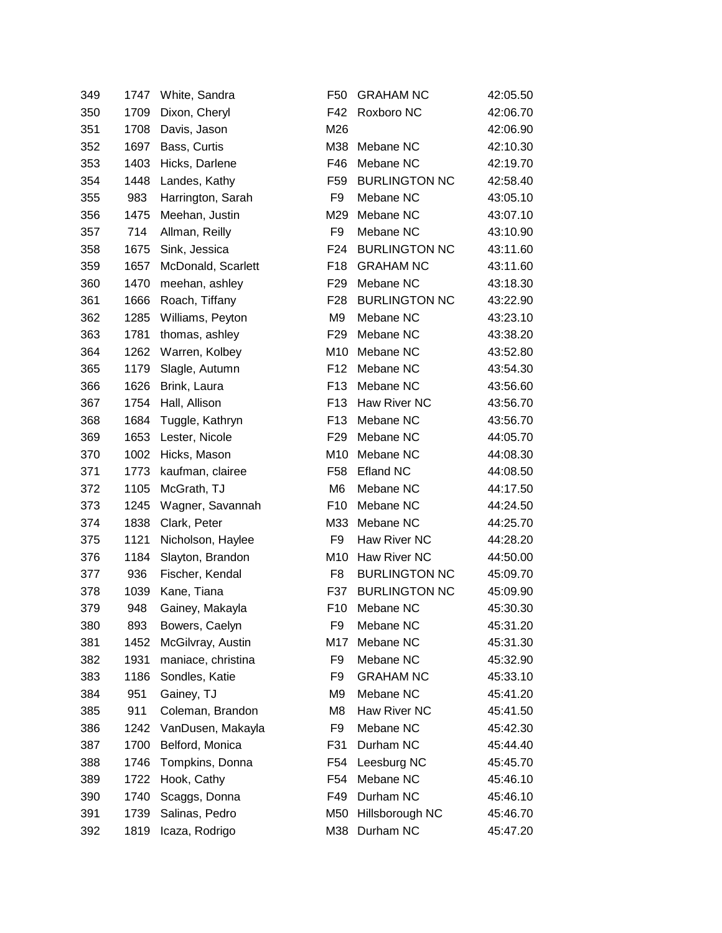| 349 | 1747 | White, Sandra      |
|-----|------|--------------------|
| 350 | 1709 | Dixon, Cheryl      |
| 351 | 1708 | Davis, Jason       |
| 352 | 1697 | Bass, Curtis       |
| 353 | 1403 | Hicks, Darlene     |
| 354 | 1448 | Landes, Kathy      |
| 355 | 983  | Harrington, Sarah  |
| 356 | 1475 | Meehan, Justin     |
| 357 | 714  | Allman, Reilly     |
| 358 | 1675 | Sink, Jessica      |
| 359 | 1657 | McDonald, Scarlett |
| 360 | 1470 | meehan, ashley     |
| 361 | 1666 | Roach, Tiffany     |
| 362 | 1285 | Williams, Peyton   |
| 363 | 1781 | thomas, ashley     |
| 364 | 1262 | Warren, Kolbey     |
| 365 | 1179 | Slagle, Autumn     |
| 366 | 1626 | Brink, Laura       |
| 367 | 1754 | Hall, Allison      |
| 368 | 1684 | Tuggle, Kathryn    |
| 369 | 1653 | Lester, Nicole     |
| 370 | 1002 | Hicks, Mason       |
| 371 | 1773 | kaufman, clairee   |
| 372 | 1105 | McGrath, TJ        |
| 373 | 1245 | Wagner, Savannah   |
| 374 | 1838 | Clark, Peter       |
| 375 | 1121 | Nicholson, Haylee  |
| 376 | 1184 | Slayton, Brandon   |
| 377 | 936  | Fischer, Kendal    |
| 378 | 1039 | Kane, Tiana        |
| 379 | 948  | Gainey, Makayla    |
| 380 | 893  | Bowers, Caelyn     |
| 381 | 1452 | McGilvray, Austin  |
| 382 | 1931 | maniace, christina |
| 383 | 1186 | Sondles, Katie     |
| 384 | 951  | Gainey, TJ         |
| 385 | 911  | Coleman, Brandon   |
| 386 | 1242 | VanDusen, Makayla  |
| 387 | 1700 | Belford, Monica    |
| 388 | 1746 | Tompkins, Donna    |
| 389 | 1722 | Hook, Cathy        |
| 390 | 1740 | Scaggs, Donna      |
| 391 | 1739 | Salinas, Pedro     |
| 392 | 1819 | Icaza, Rodrigo     |

| 349 |      | 1747 White, Sandra  | F <sub>50</sub> | <b>GRAHAM NC</b>     | 42:05.50 |
|-----|------|---------------------|-----------------|----------------------|----------|
| 350 | 1709 | Dixon, Cheryl       | F42             | Roxboro NC           | 42:06.70 |
| 351 | 1708 | Davis, Jason        | M26             |                      | 42:06.90 |
| 352 | 1697 | Bass, Curtis        | M38             | Mebane NC            | 42:10.30 |
| 353 | 1403 | Hicks, Darlene      | F46             | Mebane NC            | 42:19.70 |
| 354 | 1448 | Landes, Kathy       | F59             | <b>BURLINGTON NC</b> | 42:58.40 |
| 355 | 983  | Harrington, Sarah   | F9              | Mebane NC            | 43:05.10 |
| 356 | 1475 | Meehan, Justin      | M29             | Mebane NC            | 43:07.10 |
| 357 | 714  | Allman, Reilly      | F <sub>9</sub>  | Mebane NC            | 43:10.90 |
| 358 | 1675 | Sink, Jessica       | F24             | <b>BURLINGTON NC</b> | 43:11.60 |
| 359 | 1657 | McDonald, Scarlett  | F <sub>18</sub> | <b>GRAHAM NC</b>     | 43:11.60 |
| 360 | 1470 | meehan, ashley      | F <sub>29</sub> | Mebane NC            | 43:18.30 |
| 361 | 1666 | Roach, Tiffany      | F28             | <b>BURLINGTON NC</b> | 43:22.90 |
| 362 | 1285 | Williams, Peyton    | M9              | Mebane NC            | 43:23.10 |
| 363 | 1781 | thomas, ashley      | F <sub>29</sub> | Mebane NC            | 43:38.20 |
| 364 | 1262 | Warren, Kolbey      | M10             | Mebane NC            | 43:52.80 |
| 365 | 1179 | Slagle, Autumn      | F <sub>12</sub> | Mebane NC            | 43:54.30 |
| 366 | 1626 | Brink, Laura        | F <sub>13</sub> | Mebane NC            | 43:56.60 |
| 367 | 1754 | Hall, Allison       | F <sub>13</sub> | Haw River NC         | 43:56.70 |
| 368 | 1684 | Tuggle, Kathryn     | F <sub>13</sub> | Mebane NC            | 43:56.70 |
| 369 |      | 1653 Lester, Nicole | F29             | Mebane NC            | 44:05.70 |
| 370 | 1002 | Hicks, Mason        | M10             | Mebane NC            | 44:08.30 |
| 371 | 1773 | kaufman, clairee    | F58             | Efland NC            | 44:08.50 |
| 372 | 1105 | McGrath, TJ         | M6              | Mebane NC            | 44:17.50 |
| 373 | 1245 | Wagner, Savannah    | F <sub>10</sub> | Mebane NC            | 44:24.50 |
| 374 | 1838 | Clark, Peter        | M33             | Mebane NC            | 44:25.70 |
| 375 | 1121 | Nicholson, Haylee   | F <sub>9</sub>  | Haw River NC         | 44:28.20 |
| 376 | 1184 | Slayton, Brandon    | M10             | Haw River NC         | 44:50.00 |
| 377 | 936  | Fischer, Kendal     | F <sub>8</sub>  | <b>BURLINGTON NC</b> | 45:09.70 |
| 378 | 1039 | Kane, Tiana         | F37             | <b>BURLINGTON NC</b> | 45:09.90 |
| 379 | 948  | Gainey, Makayla     | F <sub>10</sub> | Mebane NC            | 45:30.30 |
| 380 | 893  | Bowers, Caelyn      | F <sub>9</sub>  | Mebane NC            | 45:31.20 |
| 381 | 1452 | McGilvray, Austin   | M17             | Mebane NC            | 45:31.30 |
| 382 | 1931 | maniace, christina  | F <sub>9</sub>  | Mebane NC            | 45:32.90 |
| 383 | 1186 | Sondles, Katie      | F9              | <b>GRAHAM NC</b>     | 45:33.10 |
| 384 | 951  | Gainey, TJ          | M9              | Mebane NC            | 45:41.20 |
| 385 | 911  | Coleman, Brandon    | M <sub>8</sub>  | Haw River NC         | 45:41.50 |
| 386 | 1242 | VanDusen, Makayla   | F9              | Mebane NC            | 45:42.30 |
| 387 | 1700 | Belford, Monica     | F31             | Durham NC            | 45:44.40 |
| 388 | 1746 | Tompkins, Donna     | F54             | Leesburg NC          | 45:45.70 |
| 389 | 1722 | Hook, Cathy         | F <sub>54</sub> | Mebane NC            | 45:46.10 |
| 390 | 1740 | Scaggs, Donna       | F49             | Durham NC            | 45:46.10 |
| 391 | 1739 | Salinas, Pedro      | M50             | Hillsborough NC      | 45:46.70 |
| 392 | 1819 | Icaza, Rodrigo      | M38             | Durham NC            | 45:47.20 |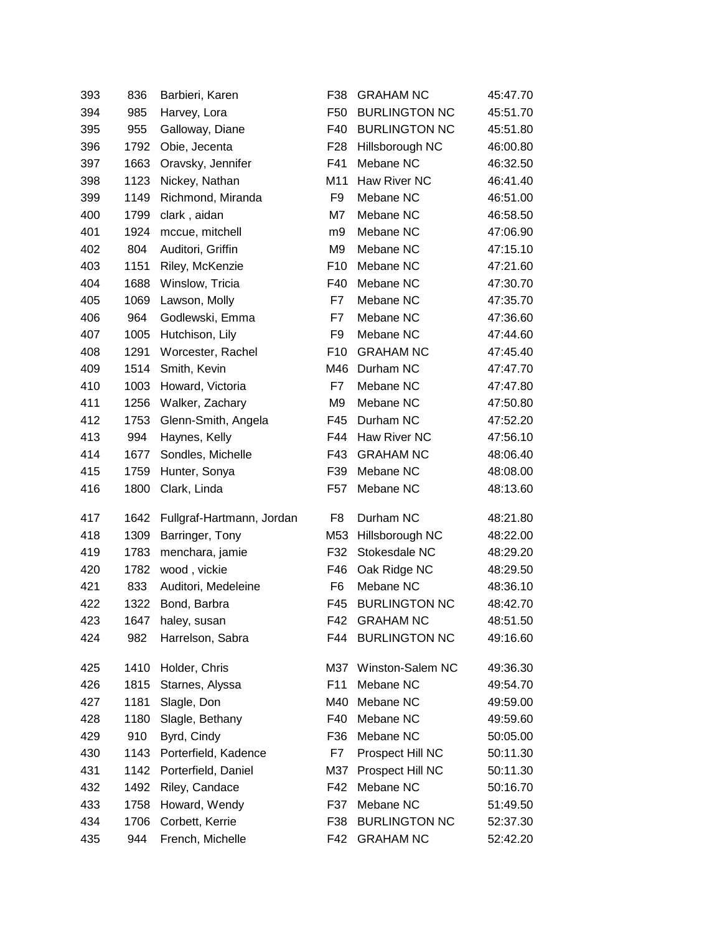| 393 | 836  | Barbieri, Karen           | F38             | <b>GRAHAM NC</b>     | 45:47.70 |
|-----|------|---------------------------|-----------------|----------------------|----------|
| 394 | 985  | Harvey, Lora              | F50             | <b>BURLINGTON NC</b> | 45:51.70 |
| 395 | 955  | Galloway, Diane           | F40             | <b>BURLINGTON NC</b> | 45:51.80 |
| 396 | 1792 | Obie, Jecenta             | F <sub>28</sub> | Hillsborough NC      | 46:00.80 |
| 397 | 1663 | Oravsky, Jennifer         | F41             | Mebane NC            | 46:32.50 |
| 398 | 1123 | Nickey, Nathan            | M11             | Haw River NC         | 46:41.40 |
| 399 | 1149 | Richmond, Miranda         | F <sub>9</sub>  | Mebane NC            | 46:51.00 |
| 400 | 1799 | clark, aidan              | M7              | Mebane NC            | 46:58.50 |
| 401 | 1924 | mccue, mitchell           | m9              | Mebane NC            | 47:06.90 |
| 402 | 804  | Auditori, Griffin         | M <sub>9</sub>  | Mebane NC            | 47:15.10 |
| 403 | 1151 | Riley, McKenzie           | F <sub>10</sub> | Mebane NC            | 47:21.60 |
| 404 | 1688 | Winslow, Tricia           | F40             | Mebane NC            | 47:30.70 |
| 405 | 1069 | Lawson, Molly             | F7              | Mebane NC            | 47:35.70 |
| 406 | 964  | Godlewski, Emma           | F7              | Mebane NC            | 47:36.60 |
| 407 | 1005 | Hutchison, Lily           | F <sub>9</sub>  | Mebane NC            | 47:44.60 |
| 408 | 1291 | Worcester, Rachel         | F <sub>10</sub> | <b>GRAHAM NC</b>     | 47:45.40 |
| 409 | 1514 | Smith, Kevin              | M46             | Durham NC            | 47:47.70 |
| 410 | 1003 | Howard, Victoria          | F7              | Mebane NC            | 47:47.80 |
| 411 | 1256 | Walker, Zachary           | M <sub>9</sub>  | Mebane NC            | 47:50.80 |
| 412 | 1753 | Glenn-Smith, Angela       | F45             | Durham NC            | 47:52.20 |
| 413 | 994  | Haynes, Kelly             | F44             | Haw River NC         | 47:56.10 |
| 414 | 1677 | Sondles, Michelle         | F43             | <b>GRAHAM NC</b>     | 48:06.40 |
| 415 | 1759 | Hunter, Sonya             | F39             | Mebane NC            | 48:08.00 |
| 416 | 1800 | Clark, Linda              | F <sub>57</sub> | Mebane NC            | 48:13.60 |
| 417 | 1642 | Fullgraf-Hartmann, Jordan | F <sub>8</sub>  | Durham NC            | 48:21.80 |
| 418 | 1309 | Barringer, Tony           | M53             | Hillsborough NC      | 48:22.00 |
| 419 | 1783 | menchara, jamie           | F32             | Stokesdale NC        | 48:29.20 |
| 420 | 1782 | wood, vickie              | F46             | Oak Ridge NC         | 48:29.50 |
| 421 | 833  | Auditori, Medeleine       | F <sub>6</sub>  | Mebane NC            | 48:36.10 |
| 422 | 1322 | Bond, Barbra              | F45             | <b>BURLINGTON NC</b> | 48:42.70 |
| 423 | 1647 | haley, susan              | F42             | <b>GRAHAM NC</b>     | 48:51.50 |
| 424 | 982  | Harrelson, Sabra          | F44             | <b>BURLINGTON NC</b> | 49:16.60 |
| 425 | 1410 | Holder, Chris             | M37             | Winston-Salem NC     | 49:36.30 |
| 426 | 1815 | Starnes, Alyssa           | F11             | Mebane NC            | 49:54.70 |
| 427 | 1181 | Slagle, Don               | M40             | Mebane NC            | 49:59.00 |
| 428 | 1180 | Slagle, Bethany           | F40             | Mebane NC            | 49:59.60 |
| 429 | 910  | Byrd, Cindy               | F36             | Mebane NC            | 50:05.00 |
| 430 |      | 1143 Porterfield, Kadence | F7              | Prospect Hill NC     | 50:11.30 |
| 431 | 1142 | Porterfield, Daniel       | M37             | Prospect Hill NC     | 50:11.30 |
| 432 | 1492 | Riley, Candace            | F42             | Mebane NC            | 50:16.70 |
| 433 | 1758 | Howard, Wendy             | F37             | Mebane NC            | 51:49.50 |
| 434 | 1706 | Corbett, Kerrie           | F38             | <b>BURLINGTON NC</b> | 52:37.30 |
| 435 | 944  | French, Michelle          | F42             | <b>GRAHAM NC</b>     | 52:42.20 |